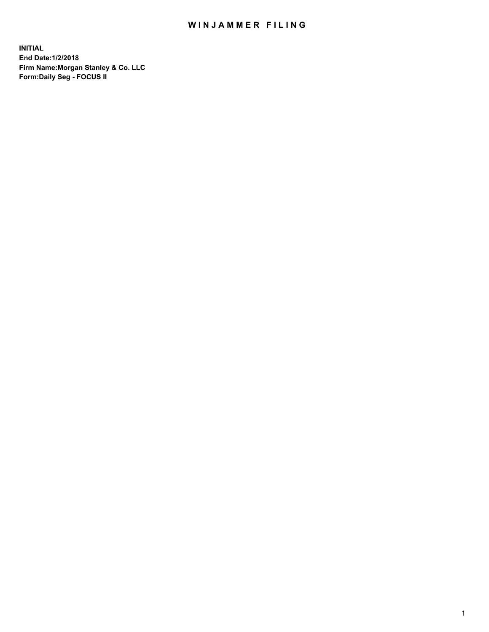## WIN JAMMER FILING

**INITIAL End Date:1/2/2018 Firm Name:Morgan Stanley & Co. LLC Form:Daily Seg - FOCUS II**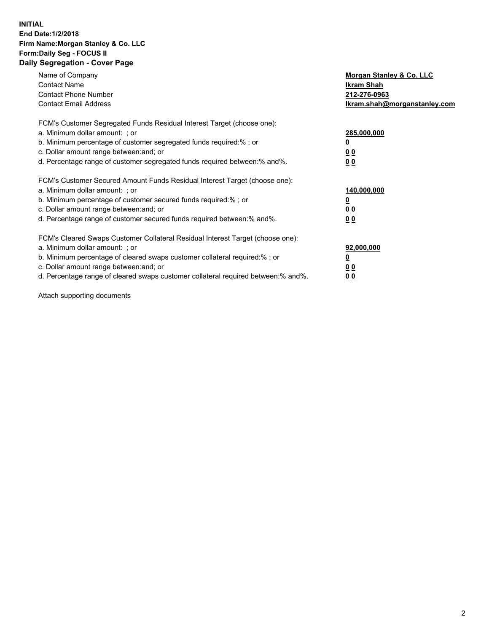### **INITIAL End Date:1/2/2018 Firm Name:Morgan Stanley & Co. LLC Form:Daily Seg - FOCUS II Daily Segregation - Cover Page**

| <b>Contact Name</b><br>Ikram Shah<br><b>Contact Phone Number</b><br>212-276-0963<br><b>Contact Email Address</b><br>Ikram.shah@morganstanley.com<br>FCM's Customer Segregated Funds Residual Interest Target (choose one):<br>a. Minimum dollar amount: : or<br>285,000,000<br>b. Minimum percentage of customer segregated funds required:%; or<br>c. Dollar amount range between: and; or<br><u>00</u><br>d. Percentage range of customer segregated funds required between: % and %.<br>00<br>FCM's Customer Secured Amount Funds Residual Interest Target (choose one):<br>a. Minimum dollar amount: ; or<br>140,000,000<br>b. Minimum percentage of customer secured funds required:%; or<br>c. Dollar amount range between: and; or<br>00<br>d. Percentage range of customer secured funds required between:% and%.<br><u>00</u><br>FCM's Cleared Swaps Customer Collateral Residual Interest Target (choose one):<br>a. Minimum dollar amount: ; or<br>92,000,000<br>b. Minimum percentage of cleared swaps customer collateral required:% ; or<br><u>0</u><br>c. Dollar amount range between: and; or<br><u>00</u><br>d. Percentage range of cleared swaps customer collateral required between:% and%.<br>00 | Name of Company | Morgan Stanley & Co. LLC |
|-----------------------------------------------------------------------------------------------------------------------------------------------------------------------------------------------------------------------------------------------------------------------------------------------------------------------------------------------------------------------------------------------------------------------------------------------------------------------------------------------------------------------------------------------------------------------------------------------------------------------------------------------------------------------------------------------------------------------------------------------------------------------------------------------------------------------------------------------------------------------------------------------------------------------------------------------------------------------------------------------------------------------------------------------------------------------------------------------------------------------------------------------------------------------------------------------------------------------|-----------------|--------------------------|
|                                                                                                                                                                                                                                                                                                                                                                                                                                                                                                                                                                                                                                                                                                                                                                                                                                                                                                                                                                                                                                                                                                                                                                                                                       |                 |                          |
|                                                                                                                                                                                                                                                                                                                                                                                                                                                                                                                                                                                                                                                                                                                                                                                                                                                                                                                                                                                                                                                                                                                                                                                                                       |                 |                          |
|                                                                                                                                                                                                                                                                                                                                                                                                                                                                                                                                                                                                                                                                                                                                                                                                                                                                                                                                                                                                                                                                                                                                                                                                                       |                 |                          |
|                                                                                                                                                                                                                                                                                                                                                                                                                                                                                                                                                                                                                                                                                                                                                                                                                                                                                                                                                                                                                                                                                                                                                                                                                       |                 |                          |
|                                                                                                                                                                                                                                                                                                                                                                                                                                                                                                                                                                                                                                                                                                                                                                                                                                                                                                                                                                                                                                                                                                                                                                                                                       |                 |                          |
|                                                                                                                                                                                                                                                                                                                                                                                                                                                                                                                                                                                                                                                                                                                                                                                                                                                                                                                                                                                                                                                                                                                                                                                                                       |                 |                          |
|                                                                                                                                                                                                                                                                                                                                                                                                                                                                                                                                                                                                                                                                                                                                                                                                                                                                                                                                                                                                                                                                                                                                                                                                                       |                 |                          |
|                                                                                                                                                                                                                                                                                                                                                                                                                                                                                                                                                                                                                                                                                                                                                                                                                                                                                                                                                                                                                                                                                                                                                                                                                       |                 |                          |
|                                                                                                                                                                                                                                                                                                                                                                                                                                                                                                                                                                                                                                                                                                                                                                                                                                                                                                                                                                                                                                                                                                                                                                                                                       |                 |                          |
|                                                                                                                                                                                                                                                                                                                                                                                                                                                                                                                                                                                                                                                                                                                                                                                                                                                                                                                                                                                                                                                                                                                                                                                                                       |                 |                          |
|                                                                                                                                                                                                                                                                                                                                                                                                                                                                                                                                                                                                                                                                                                                                                                                                                                                                                                                                                                                                                                                                                                                                                                                                                       |                 |                          |
|                                                                                                                                                                                                                                                                                                                                                                                                                                                                                                                                                                                                                                                                                                                                                                                                                                                                                                                                                                                                                                                                                                                                                                                                                       |                 |                          |
|                                                                                                                                                                                                                                                                                                                                                                                                                                                                                                                                                                                                                                                                                                                                                                                                                                                                                                                                                                                                                                                                                                                                                                                                                       |                 |                          |
|                                                                                                                                                                                                                                                                                                                                                                                                                                                                                                                                                                                                                                                                                                                                                                                                                                                                                                                                                                                                                                                                                                                                                                                                                       |                 |                          |
|                                                                                                                                                                                                                                                                                                                                                                                                                                                                                                                                                                                                                                                                                                                                                                                                                                                                                                                                                                                                                                                                                                                                                                                                                       |                 |                          |
|                                                                                                                                                                                                                                                                                                                                                                                                                                                                                                                                                                                                                                                                                                                                                                                                                                                                                                                                                                                                                                                                                                                                                                                                                       |                 |                          |
|                                                                                                                                                                                                                                                                                                                                                                                                                                                                                                                                                                                                                                                                                                                                                                                                                                                                                                                                                                                                                                                                                                                                                                                                                       |                 |                          |
|                                                                                                                                                                                                                                                                                                                                                                                                                                                                                                                                                                                                                                                                                                                                                                                                                                                                                                                                                                                                                                                                                                                                                                                                                       |                 |                          |

Attach supporting documents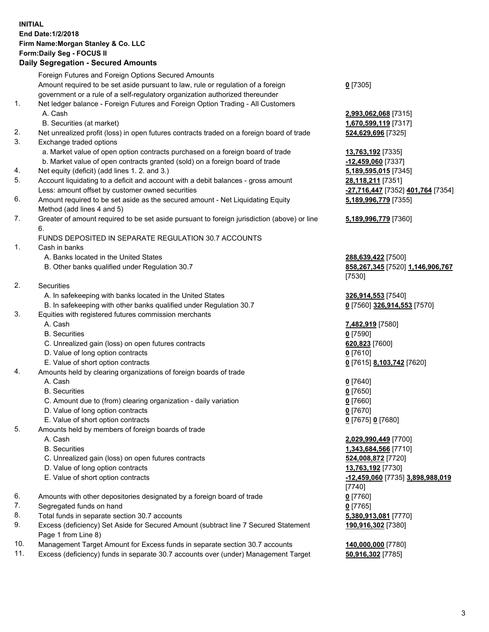## **INITIAL End Date:1/2/2018 Firm Name:Morgan Stanley & Co. LLC Form:Daily Seg - FOCUS II**

|    | <b>Daily Segregation - Secured Amounts</b>                                                                 |                                              |
|----|------------------------------------------------------------------------------------------------------------|----------------------------------------------|
|    | Foreign Futures and Foreign Options Secured Amounts                                                        |                                              |
|    | Amount required to be set aside pursuant to law, rule or regulation of a foreign                           | $0$ [7305]                                   |
|    | government or a rule of a self-regulatory organization authorized thereunder                               |                                              |
| 1. | Net ledger balance - Foreign Futures and Foreign Option Trading - All Customers                            |                                              |
|    | A. Cash                                                                                                    | 2,993,062,068 [7315]                         |
|    | B. Securities (at market)                                                                                  | 1,670,599,119 [7317]                         |
| 2. | Net unrealized profit (loss) in open futures contracts traded on a foreign board of trade                  | 524,629,696 [7325]                           |
| 3. | Exchange traded options                                                                                    |                                              |
|    | a. Market value of open option contracts purchased on a foreign board of trade                             | 13,763,192 [7335]                            |
|    | b. Market value of open contracts granted (sold) on a foreign board of trade                               | $-12,459,060$ [7337]                         |
| 4. | Net equity (deficit) (add lines 1.2. and 3.)                                                               | 5,189,595,015 [7345]                         |
| 5. | Account liquidating to a deficit and account with a debit balances - gross amount                          | 28,118,211 [7351]                            |
|    | Less: amount offset by customer owned securities                                                           | -27,716,447 [7352] 401,764 [7354]            |
| 6. | Amount required to be set aside as the secured amount - Net Liquidating Equity                             | 5,189,996,779 [7355]                         |
|    | Method (add lines 4 and 5)                                                                                 |                                              |
| 7. | Greater of amount required to be set aside pursuant to foreign jurisdiction (above) or line                | 5,189,996,779 [7360]                         |
|    | 6.                                                                                                         |                                              |
|    | FUNDS DEPOSITED IN SEPARATE REGULATION 30.7 ACCOUNTS                                                       |                                              |
| 1. | Cash in banks                                                                                              |                                              |
|    | A. Banks located in the United States                                                                      | 288,639,422 [7500]                           |
|    | B. Other banks qualified under Regulation 30.7                                                             | 858,267,345 [7520] 1,146,906,767             |
|    |                                                                                                            | [7530]                                       |
| 2. | Securities                                                                                                 |                                              |
|    | A. In safekeeping with banks located in the United States                                                  | 326,914,553 [7540]                           |
|    | B. In safekeeping with other banks qualified under Regulation 30.7                                         | 0 [7560] 326,914,553 [7570]                  |
| 3. | Equities with registered futures commission merchants                                                      |                                              |
|    | A. Cash                                                                                                    | 7,482,919 [7580]                             |
|    | <b>B.</b> Securities                                                                                       | $0$ [7590]                                   |
|    | C. Unrealized gain (loss) on open futures contracts                                                        | 620,823 [7600]                               |
|    | D. Value of long option contracts                                                                          | $0$ [7610]                                   |
|    | E. Value of short option contracts                                                                         | 0 [7615] 8,103,742 [7620]                    |
| 4. | Amounts held by clearing organizations of foreign boards of trade                                          |                                              |
|    | A. Cash                                                                                                    | $0$ [7640]                                   |
|    | <b>B.</b> Securities                                                                                       | $0$ [7650]                                   |
|    | C. Amount due to (from) clearing organization - daily variation                                            | $0$ [7660]                                   |
|    | D. Value of long option contracts                                                                          | $0$ [7670]                                   |
|    |                                                                                                            |                                              |
| 5. | E. Value of short option contracts<br>Amounts held by members of foreign boards of trade                   | 0 [7675] 0 [7680]                            |
|    | A. Cash                                                                                                    |                                              |
|    | <b>B.</b> Securities                                                                                       | 2,029,990,449 [7700]<br>1,343,684,566 [7710] |
|    |                                                                                                            |                                              |
|    | C. Unrealized gain (loss) on open futures contracts                                                        | 524,008,872 [7720]                           |
|    | D. Value of long option contracts                                                                          | 13,763,192 [7730]                            |
|    | E. Value of short option contracts                                                                         | -12,459,060 [7735] 3,898,988,019             |
|    |                                                                                                            | $[7740]$                                     |
| 6. | Amounts with other depositories designated by a foreign board of trade                                     | $0$ [7760]                                   |
| 7. | Segregated funds on hand                                                                                   | $0$ [7765]                                   |
| 8. | Total funds in separate section 30.7 accounts                                                              | 5,380,913,081 [7770]                         |
| 9. | Excess (deficiency) Set Aside for Secured Amount (subtract line 7 Secured Statement<br>Page 1 from Line 8) | 190,916,302 [7380]                           |

- 10. Management Target Amount for Excess funds in separate section 30.7 accounts **140,000,000** [7780]
- 11. Excess (deficiency) funds in separate 30.7 accounts over (under) Management Target **50,916,302** [7785]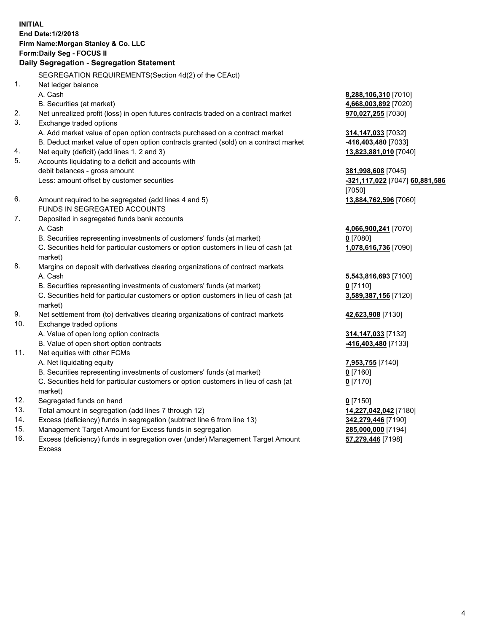## **INITIAL End Date:1/2/2018 Firm Name:Morgan Stanley & Co. LLC Form:Daily Seg - FOCUS II**

# **Daily Segregation - Segregation Statement**

SEGREGATION REQUIREMENTS(Section 4d(2) of the CEAct) 1. Net ledger balance A. Cash **8,288,106,310** [7010] B. Securities (at market) **4,668,003,892** [7020] 2. Net unrealized profit (loss) in open futures contracts traded on a contract market **970,027,255** [7030] 3. Exchange traded options A. Add market value of open option contracts purchased on a contract market **314,147,033** [7032] B. Deduct market value of open option contracts granted (sold) on a contract market **-416,403,480** [7033] 4. Net equity (deficit) (add lines 1, 2 and 3) **13,823,881,010** [7040] 5. Accounts liquidating to a deficit and accounts with debit balances - gross amount **381,998,608** [7045] Less: amount offset by customer securities **-321,117,022** [7047] **60,881,586** [7050] 6. Amount required to be segregated (add lines 4 and 5) **13,884,762,596** [7060] FUNDS IN SEGREGATED ACCOUNTS 7. Deposited in segregated funds bank accounts A. Cash **4,066,900,241** [7070] B. Securities representing investments of customers' funds (at market) **0** [7080] C. Securities held for particular customers or option customers in lieu of cash (at market) **1,078,616,736** [7090] 8. Margins on deposit with derivatives clearing organizations of contract markets A. Cash **5,543,816,693** [7100] B. Securities representing investments of customers' funds (at market) **0** [7110] C. Securities held for particular customers or option customers in lieu of cash (at market) **3,589,387,156** [7120] 9. Net settlement from (to) derivatives clearing organizations of contract markets **42,623,908** [7130] 10. Exchange traded options A. Value of open long option contracts **314,147,033** [7132] B. Value of open short option contracts **-416,403,480** [7133] 11. Net equities with other FCMs A. Net liquidating equity **7,953,755** [7140] B. Securities representing investments of customers' funds (at market) **0** [7160] C. Securities held for particular customers or option customers in lieu of cash (at market) **0** [7170] 12. Segregated funds on hand **0** [7150] 13. Total amount in segregation (add lines 7 through 12) **14,227,042,042** [7180] 14. Excess (deficiency) funds in segregation (subtract line 6 from line 13) **342,279,446** [7190] 15. Management Target Amount for Excess funds in segregation **285,000,000** [7194]

16. Excess (deficiency) funds in segregation over (under) Management Target Amount Excess

**57,279,446** [7198]